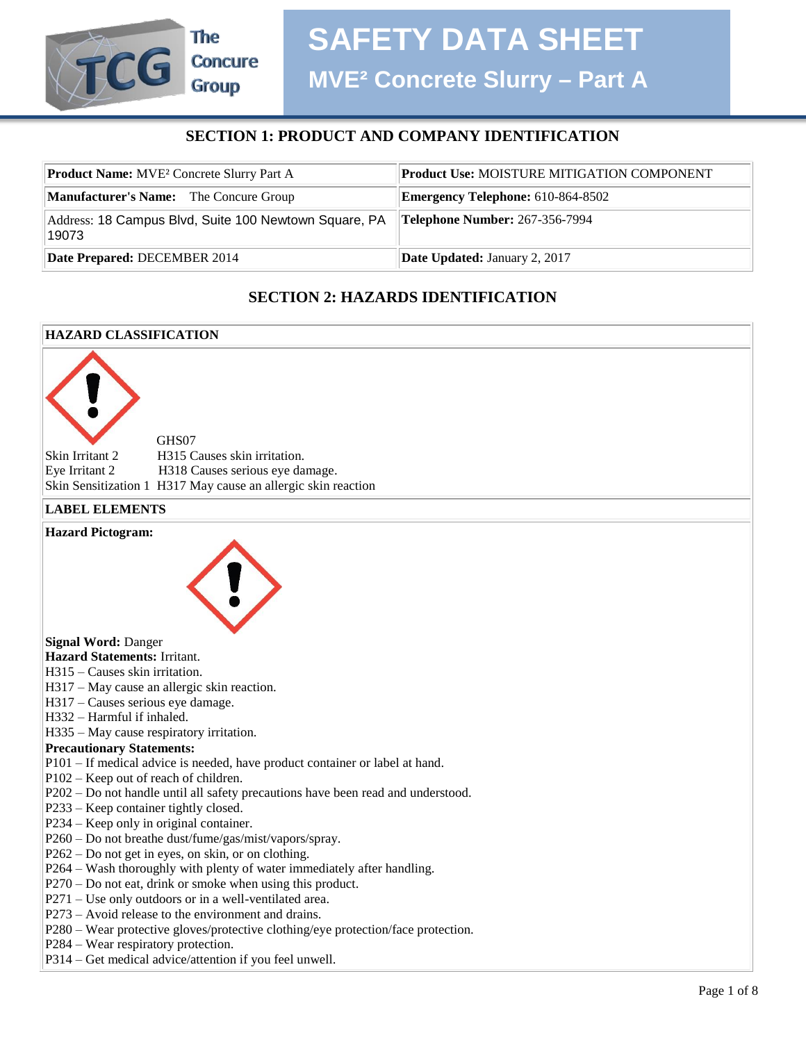## **SECTION 1: PRODUCT AND COMPANY IDENTIFICATION**

| <b>Product Name:</b> MVE <sup>2</sup> Concrete Slurry Part A   | <b>Product Use: MOISTURE MITIGATION COMPONENT</b> |  |
|----------------------------------------------------------------|---------------------------------------------------|--|
| <b>Manufacturer's Name:</b> The Concure Group                  | <b>Emergency Telephone:</b> 610-864-8502          |  |
| Address: 18 Campus Blvd, Suite 100 Newtown Square, PA<br>19073 | <b>Telephone Number: 267-356-7994</b>             |  |
| Date Prepared: DECEMBER 2014                                   | <b>Date Updated: January 2, 2017</b>              |  |

## **SECTION 2: HAZARDS IDENTIFICATION**

## **HAZARD CLASSIFICATION** GHS07 Skin Irritant 2 H315 Causes skin irritation. Eye Irritant 2 H318 Causes serious eye damage. Skin Sensitization 1 H317 May cause an allergic skin reaction **LABEL ELEMENTS Hazard Pictogram: Signal Word:** Danger **Hazard Statements:** Irritant. H315 – Causes skin irritation. H317 – May cause an allergic skin reaction. H317 – Causes serious eye damage. H332 – Harmful if inhaled. H335 – May cause respiratory irritation. **Precautionary Statements:**  P101 – If medical advice is needed, have product container or label at hand. P102 – Keep out of reach of children. P202 – Do not handle until all safety precautions have been read and understood. P233 – Keep container tightly closed. P234 – Keep only in original container. P260 – Do not breathe dust/fume/gas/mist/vapors/spray. P262 – Do not get in eyes, on skin, or on clothing. P264 – Wash thoroughly with plenty of water immediately after handling. P270 – Do not eat, drink or smoke when using this product. P271 – Use only outdoors or in a well-ventilated area. P273 – Avoid release to the environment and drains. P280 – Wear protective gloves/protective clothing/eye protection/face protection. P284 – Wear respiratory protection. P314 – Get medical advice/attention if you feel unwell.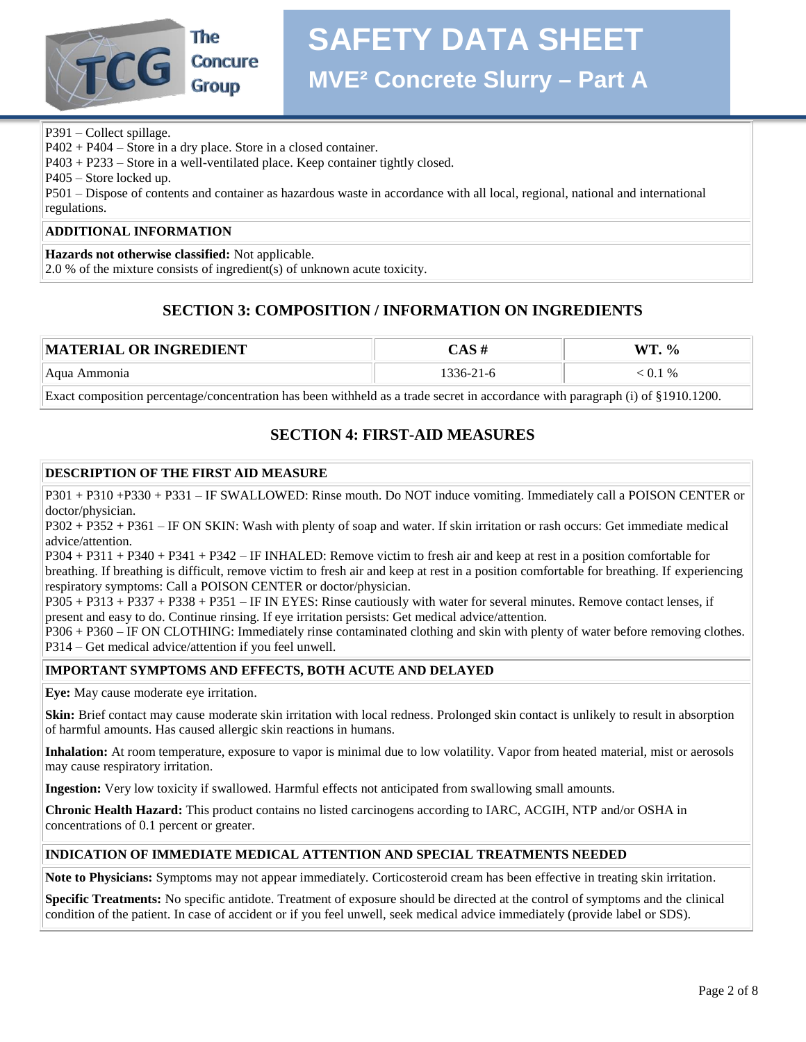

# **SAFETY DATA SHEET**

**MVE² Concrete Slurry – Part A**

P391 – Collect spillage.

P402 + P404 – Store in a dry place. Store in a closed container.

P403 + P233 – Store in a well-ventilated place. Keep container tightly closed.

P405 – Store locked up.

P501 – Dispose of contents and container as hazardous waste in accordance with all local, regional, national and international regulations.

#### **ADDITIONAL INFORMATION**

**Hazards not otherwise classified:** Not applicable.

2.0 % of the mixture consists of ingredient(s) of unknown acute toxicity.

## **SECTION 3: COMPOSITION / INFORMATION ON INGREDIENTS**

| <b>TERIAL OR INGREDIENT</b><br> MAT |           | ѾТ<br>$\frac{6}{6}$ |
|-------------------------------------|-----------|---------------------|
| Aqua Ammonia                        | 1336-21-6 | $-0.1\%$            |

Exact composition percentage/concentration has been withheld as a trade secret in accordance with paragraph (i) of §1910.1200.

## **SECTION 4: FIRST-AID MEASURES**

#### **DESCRIPTION OF THE FIRST AID MEASURE**

P301 + P310 +P330 + P331 – IF SWALLOWED: Rinse mouth. Do NOT induce vomiting. Immediately call a POISON CENTER or doctor/physician.

P302 + P352 + P361 – IF ON SKIN: Wash with plenty of soap and water. If skin irritation or rash occurs: Get immediate medical advice/attention.

P304 + P311 + P340 + P341 + P342 – IF INHALED: Remove victim to fresh air and keep at rest in a position comfortable for breathing. If breathing is difficult, remove victim to fresh air and keep at rest in a position comfortable for breathing. If experiencing respiratory symptoms: Call a POISON CENTER or doctor/physician.

P305 + P313 + P337 + P338 + P351 – IF IN EYES: Rinse cautiously with water for several minutes. Remove contact lenses, if present and easy to do. Continue rinsing. If eye irritation persists: Get medical advice/attention.

P306 + P360 – IF ON CLOTHING: Immediately rinse contaminated clothing and skin with plenty of water before removing clothes. P314 – Get medical advice/attention if you feel unwell.

#### **IMPORTANT SYMPTOMS AND EFFECTS, BOTH ACUTE AND DELAYED**

**Eye:** May cause moderate eye irritation.

**Skin:** Brief contact may cause moderate skin irritation with local redness. Prolonged skin contact is unlikely to result in absorption of harmful amounts. Has caused allergic skin reactions in humans.

**Inhalation:** At room temperature, exposure to vapor is minimal due to low volatility. Vapor from heated material, mist or aerosols may cause respiratory irritation.

**Ingestion:** Very low toxicity if swallowed. Harmful effects not anticipated from swallowing small amounts.

**Chronic Health Hazard:** This product contains no listed carcinogens according to IARC, ACGIH, NTP and/or OSHA in concentrations of 0.1 percent or greater.

#### **INDICATION OF IMMEDIATE MEDICAL ATTENTION AND SPECIAL TREATMENTS NEEDED**

**Note to Physicians:** Symptoms may not appear immediately. Corticosteroid cream has been effective in treating skin irritation.

**Specific Treatments:** No specific antidote. Treatment of exposure should be directed at the control of symptoms and the clinical condition of the patient. In case of accident or if you feel unwell, seek medical advice immediately (provide label or SDS).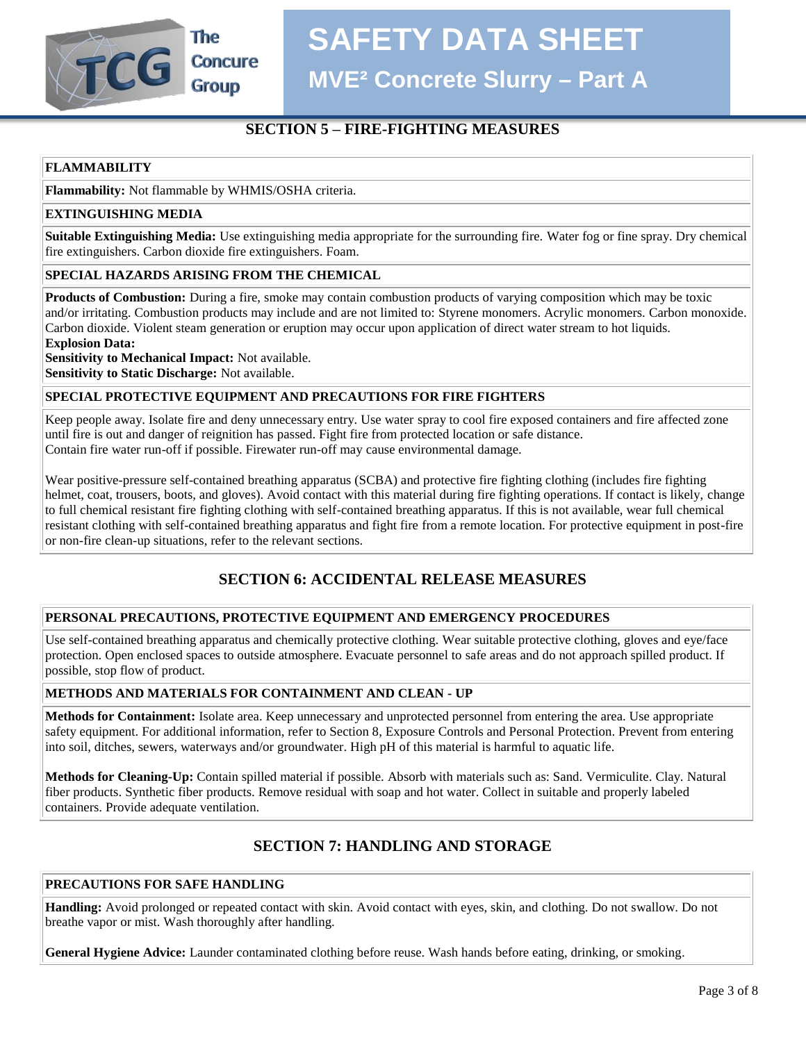**SAFETY DATA SHEET**

**Concure Group** 

The

**MVE² Concrete Slurry – Part A**

## **SECTION 5 – FIRE-FIGHTING MEASURES**

#### **FLAMMABILITY**

**Flammability:** Not flammable by WHMIS/OSHA criteria.

#### **EXTINGUISHING MEDIA**

**Suitable Extinguishing Media:** Use extinguishing media appropriate for the surrounding fire. Water fog or fine spray. Dry chemical fire extinguishers. Carbon dioxide fire extinguishers. Foam.

#### **SPECIAL HAZARDS ARISING FROM THE CHEMICAL**

**Products of Combustion:** During a fire, smoke may contain combustion products of varying composition which may be toxic and/or irritating. Combustion products may include and are not limited to: Styrene monomers. Acrylic monomers. Carbon monoxide. Carbon dioxide. Violent steam generation or eruption may occur upon application of direct water stream to hot liquids.

**Explosion Data:** 

**Sensitivity to Mechanical Impact:** Not available.

**Sensitivity to Static Discharge:** Not available.

#### **SPECIAL PROTECTIVE EQUIPMENT AND PRECAUTIONS FOR FIRE FIGHTERS**

Keep people away. Isolate fire and deny unnecessary entry. Use water spray to cool fire exposed containers and fire affected zone until fire is out and danger of reignition has passed. Fight fire from protected location or safe distance. Contain fire water run-off if possible. Firewater run-off may cause environmental damage.

Wear positive-pressure self-contained breathing apparatus (SCBA) and protective fire fighting clothing (includes fire fighting helmet, coat, trousers, boots, and gloves). Avoid contact with this material during fire fighting operations. If contact is likely, change to full chemical resistant fire fighting clothing with self-contained breathing apparatus. If this is not available, wear full chemical resistant clothing with self-contained breathing apparatus and fight fire from a remote location. For protective equipment in post-fire or non-fire clean-up situations, refer to the relevant sections.

## **SECTION 6: ACCIDENTAL RELEASE MEASURES**

#### **PERSONAL PRECAUTIONS, PROTECTIVE EQUIPMENT AND EMERGENCY PROCEDURES**

Use self-contained breathing apparatus and chemically protective clothing. Wear suitable protective clothing, gloves and eye/face protection. Open enclosed spaces to outside atmosphere. Evacuate personnel to safe areas and do not approach spilled product. If possible, stop flow of product.

#### **METHODS AND MATERIALS FOR CONTAINMENT AND CLEAN - UP**

**Methods for Containment:** Isolate area. Keep unnecessary and unprotected personnel from entering the area. Use appropriate safety equipment. For additional information, refer to Section 8, Exposure Controls and Personal Protection. Prevent from entering into soil, ditches, sewers, waterways and/or groundwater. High pH of this material is harmful to aquatic life.

**Methods for Cleaning-Up:** Contain spilled material if possible. Absorb with materials such as: Sand. Vermiculite. Clay. Natural fiber products. Synthetic fiber products. Remove residual with soap and hot water. Collect in suitable and properly labeled containers. Provide adequate ventilation.

#### **SECTION 7: HANDLING AND STORAGE**

#### **PRECAUTIONS FOR SAFE HANDLING**

**Handling:** Avoid prolonged or repeated contact with skin. Avoid contact with eyes, skin, and clothing. Do not swallow. Do not breathe vapor or mist. Wash thoroughly after handling.

**General Hygiene Advice:** Launder contaminated clothing before reuse. Wash hands before eating, drinking, or smoking.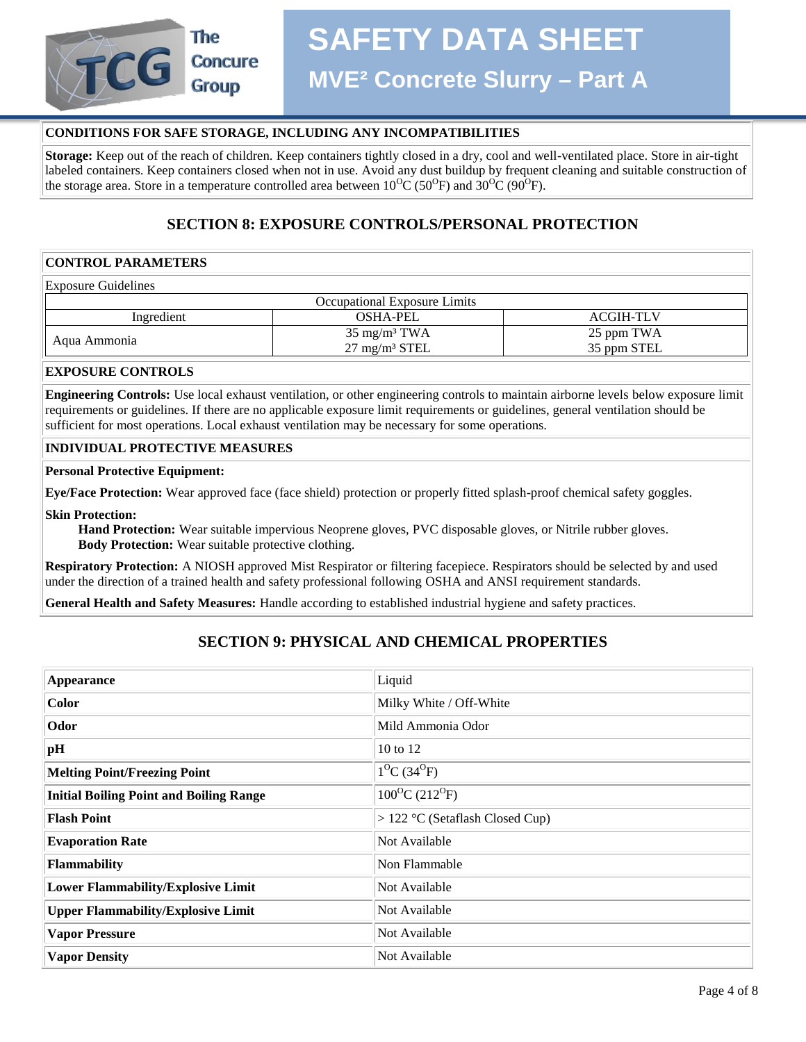

#### **CONDITIONS FOR SAFE STORAGE, INCLUDING ANY INCOMPATIBILITIES**

**Storage:** Keep out of the reach of children. Keep containers tightly closed in a dry, cool and well-ventilated place. Store in air-tight labeled containers. Keep containers closed when not in use. Avoid any dust buildup by frequent cleaning and suitable construction of the storage area. Store in a temperature controlled area between  $10^{0}C(50^{0}F)$  and  $30^{0}C(90^{0}F)$ .

### **SECTION 8: EXPOSURE CONTROLS/PERSONAL PROTECTION**

#### **CONTROL PARAMETERS**

Exposure Guidelines

| Occupational Exposure Limits |                                                     |                           |  |  |
|------------------------------|-----------------------------------------------------|---------------------------|--|--|
| Ingredient                   | <b>OSHA-PEL</b>                                     | <b>ACGIH-TLV</b>          |  |  |
| Aqua Ammonia                 | $35 \text{ mg/m}^3$ TWA<br>$27 \text{ mg/m}^3$ STEL | 25 ppm TWA<br>35 ppm STEL |  |  |

#### **EXPOSURE CONTROLS**

**Engineering Controls:** Use local exhaust ventilation, or other engineering controls to maintain airborne levels below exposure limit requirements or guidelines. If there are no applicable exposure limit requirements or guidelines, general ventilation should be sufficient for most operations. Local exhaust ventilation may be necessary for some operations.

#### **INDIVIDUAL PROTECTIVE MEASURES**

#### **Personal Protective Equipment:**

**Eye/Face Protection:** Wear approved face (face shield) protection or properly fitted splash-proof chemical safety goggles.

**Skin Protection:**

 **Hand Protection:** Wear suitable impervious Neoprene gloves, PVC disposable gloves, or Nitrile rubber gloves.  **Body Protection:** Wear suitable protective clothing.

**Respiratory Protection:** A NIOSH approved Mist Respirator or filtering facepiece. Respirators should be selected by and used under the direction of a trained health and safety professional following OSHA and ANSI requirement standards.

**General Health and Safety Measures:** Handle according to established industrial hygiene and safety practices.

## **SECTION 9: PHYSICAL AND CHEMICAL PROPERTIES**

| Appearance                                     | Liquid                          |
|------------------------------------------------|---------------------------------|
| Color                                          | Milky White / Off-White         |
| Odor                                           | Mild Ammonia Odor               |
| pH                                             | 10 to 12                        |
| <b>Melting Point/Freezing Point</b>            | $1^{0}C(34^{0}F)$               |
| <b>Initial Boiling Point and Boiling Range</b> | $100^{\circ}C(212^{\circ}F)$    |
| <b>Flash Point</b>                             | > 122 °C (Setaflash Closed Cup) |
| <b>Evaporation Rate</b>                        | Not Available                   |
| <b>Flammability</b>                            | Non Flammable                   |
| <b>Lower Flammability/Explosive Limit</b>      | Not Available                   |
| <b>Upper Flammability/Explosive Limit</b>      | Not Available                   |
| <b>Vapor Pressure</b>                          | Not Available                   |
| <b>Vapor Density</b>                           | Not Available                   |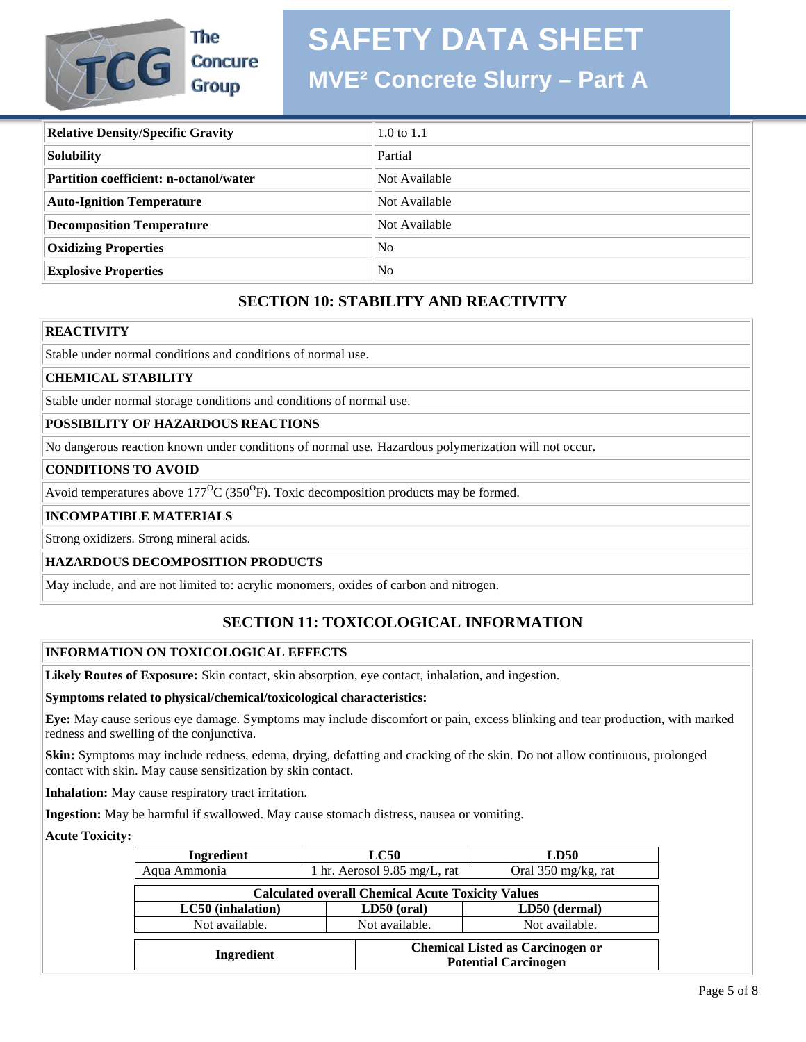## **SAFETY DATA SHEET**

## The **TCG Concure Group**

## **MVE² Concrete Slurry – Part A**

| <b>Relative Density/Specific Gravity</b>      | $1.0 \text{ to } 1.1$ |
|-----------------------------------------------|-----------------------|
| Solubility                                    | Partial               |
| <b>Partition coefficient: n-octanol/water</b> | Not Available         |
| <b>Auto-Ignition Temperature</b>              | Not Available         |
| <b>Decomposition Temperature</b>              | Not Available         |
| <b>Oxidizing Properties</b>                   | N <sub>0</sub>        |
| <b>Explosive Properties</b>                   | N <sub>0</sub>        |

## **SECTION 10: STABILITY AND REACTIVITY**

#### **REACTIVITY**

Stable under normal conditions and conditions of normal use.

#### **CHEMICAL STABILITY**

Stable under normal storage conditions and conditions of normal use.

#### **POSSIBILITY OF HAZARDOUS REACTIONS**

No dangerous reaction known under conditions of normal use. Hazardous polymerization will not occur.

#### **CONDITIONS TO AVOID**

Avoid temperatures above  $177^{\circ}C(350^{\circ}F)$ . Toxic decomposition products may be formed.

#### **INCOMPATIBLE MATERIALS**

Strong oxidizers. Strong mineral acids.

#### **HAZARDOUS DECOMPOSITION PRODUCTS**

May include, and are not limited to: acrylic monomers, oxides of carbon and nitrogen.

## **SECTION 11: TOXICOLOGICAL INFORMATION**

#### **INFORMATION ON TOXICOLOGICAL EFFECTS**

**Likely Routes of Exposure:** Skin contact, skin absorption, eye contact, inhalation, and ingestion.

#### **Symptoms related to physical/chemical/toxicological characteristics:**

**Eye:** May cause serious eye damage. Symptoms may include discomfort or pain, excess blinking and tear production, with marked redness and swelling of the conjunctiva.

**Skin:** Symptoms may include redness, edema, drying, defatting and cracking of the skin. Do not allow continuous, prolonged contact with skin. May cause sensitization by skin contact.

**Inhalation:** May cause respiratory tract irritation.

**Ingestion:** May be harmful if swallowed. May cause stomach distress, nausea or vomiting.

#### **Acute Toxicity:**

| Ingredient                                               |                            | LC50 | LD50                                                                   |  |                     |
|----------------------------------------------------------|----------------------------|------|------------------------------------------------------------------------|--|---------------------|
| Aqua Ammonia                                             | hr. Aerosol 9.85 mg/L, rat |      |                                                                        |  | Oral 350 mg/kg, rat |
| <b>Calculated overall Chemical Acute Toxicity Values</b> |                            |      |                                                                        |  |                     |
| LC50 (inhalation)                                        | $LD50$ (oral)              |      | LD50 (dermal)                                                          |  |                     |
| Not available.                                           | Not available.             |      | Not available.                                                         |  |                     |
| Ingredient                                               |                            |      | <b>Chemical Listed as Carcinogen or</b><br><b>Potential Carcinogen</b> |  |                     |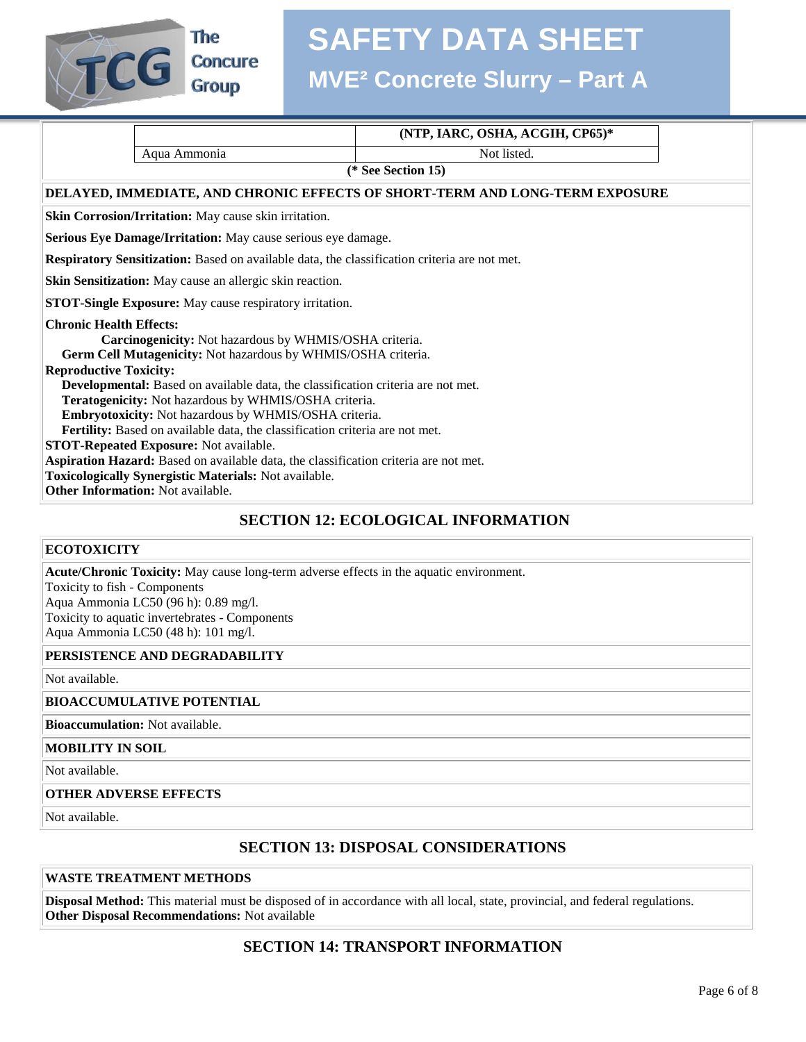

**The Concure** 

## **SAFETY DATA SHEET**

## **MVE² Concrete Slurry – Part A**

|                                        |                                                                                              | (NTP, IARC, OSHA, ACGIH, CP65)*                                              |  |  |  |  |
|----------------------------------------|----------------------------------------------------------------------------------------------|------------------------------------------------------------------------------|--|--|--|--|
|                                        | Aqua Ammonia                                                                                 | Not listed.                                                                  |  |  |  |  |
|                                        | (* See Section 15)                                                                           |                                                                              |  |  |  |  |
|                                        |                                                                                              | DELAYED, IMMEDIATE, AND CHRONIC EFFECTS OF SHORT-TERM AND LONG-TERM EXPOSURE |  |  |  |  |
|                                        | Skin Corrosion/Irritation: May cause skin irritation.                                        |                                                                              |  |  |  |  |
|                                        | Serious Eye Damage/Irritation: May cause serious eye damage.                                 |                                                                              |  |  |  |  |
|                                        | Respiratory Sensitization: Based on available data, the classification criteria are not met. |                                                                              |  |  |  |  |
|                                        | Skin Sensitization: May cause an allergic skin reaction.                                     |                                                                              |  |  |  |  |
|                                        | <b>STOT-Single Exposure:</b> May cause respiratory irritation.                               |                                                                              |  |  |  |  |
|                                        | <b>Chronic Health Effects:</b>                                                               |                                                                              |  |  |  |  |
|                                        | Carcinogenicity: Not hazardous by WHMIS/OSHA criteria.                                       |                                                                              |  |  |  |  |
|                                        | Germ Cell Mutagenicity: Not hazardous by WHMIS/OSHA criteria.                                |                                                                              |  |  |  |  |
| <b>Reproductive Toxicity:</b>          |                                                                                              |                                                                              |  |  |  |  |
|                                        | Developmental: Based on available data, the classification criteria are not met.             |                                                                              |  |  |  |  |
|                                        | Teratogenicity: Not hazardous by WHMIS/OSHA criteria.                                        |                                                                              |  |  |  |  |
|                                        | Embryotoxicity: Not hazardous by WHMIS/OSHA criteria.                                        |                                                                              |  |  |  |  |
|                                        | Fertility: Based on available data, the classification criteria are not met.                 |                                                                              |  |  |  |  |
| STOT-Repeated Exposure: Not available. |                                                                                              |                                                                              |  |  |  |  |
|                                        | Aspiration Hazard: Based on available data, the classification criteria are not met.         |                                                                              |  |  |  |  |
|                                        | Toxicologically Synergistic Materials: Not available.                                        |                                                                              |  |  |  |  |
|                                        | Other Information: Not available.                                                            |                                                                              |  |  |  |  |
|                                        |                                                                                              | <b>SECTION 12: ECOLOGICAL INFORMATION</b>                                    |  |  |  |  |

#### **ECOTOXICITY**

**Acute/Chronic Toxicity:** May cause long-term adverse effects in the aquatic environment.

Toxicity to fish - Components Aqua Ammonia LC50 (96 h): 0.89 mg/l. Toxicity to aquatic invertebrates - Components Aqua Ammonia LC50 (48 h): 101 mg/l.

#### **PERSISTENCE AND DEGRADABILITY**

Not available.

#### **BIOACCUMULATIVE POTENTIAL**

**Bioaccumulation:** Not available.

#### **MOBILITY IN SOIL**

Not available.

#### **OTHER ADVERSE EFFECTS**

Not available.

#### **SECTION 13: DISPOSAL CONSIDERATIONS**

#### **WASTE TREATMENT METHODS**

**Disposal Method:** This material must be disposed of in accordance with all local, state, provincial, and federal regulations. **Other Disposal Recommendations:** Not available

#### **SECTION 14: TRANSPORT INFORMATION**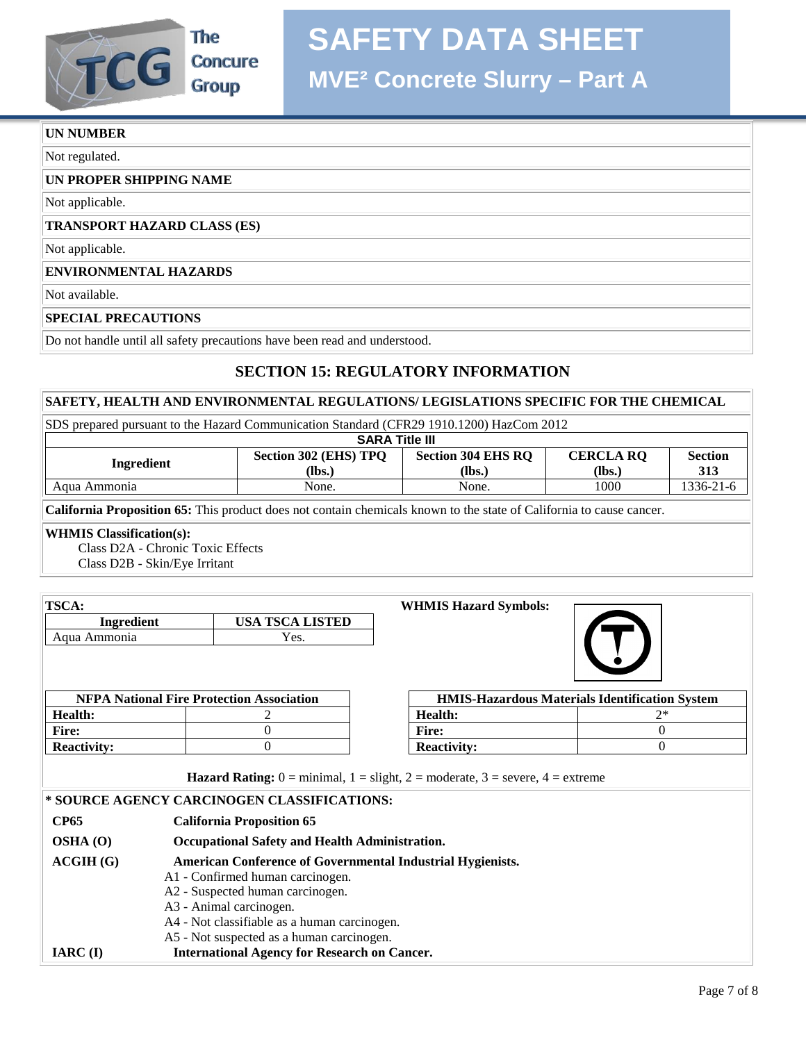

**The Concure Group** 

#### **UN NUMBER**

Not regulated.

#### **UN PROPER SHIPPING NAME**

Not applicable.

#### **TRANSPORT HAZARD CLASS (ES)**

Not applicable.

#### **ENVIRONMENTAL HAZARDS**

Not available.

#### **SPECIAL PRECAUTIONS**

Do not handle until all safety precautions have been read and understood.

### **SECTION 15: REGULATORY INFORMATION**

#### **SAFETY, HEALTH AND ENVIRONMENTAL REGULATIONS/ LEGISLATIONS SPECIFIC FOR THE CHEMICAL**

|  |  |  |  | SDS prepared pursuant to the Hazard Communication Standard (CFR29 1910.1200) HazCom 2012 |  |
|--|--|--|--|------------------------------------------------------------------------------------------|--|
|  |  |  |  |                                                                                          |  |

| <b>SARA Title III</b> |                              |                                                  |                            |                       |  |
|-----------------------|------------------------------|--------------------------------------------------|----------------------------|-----------------------|--|
| Ingredient            | Section 302 (EHS) TPQ<br>$l$ | <b>Section 304 EHS RO</b><br>$\mathbf{q}$ (lbs.) | <b>CERCLA RO</b><br>(lbs.) | <b>Section</b><br>313 |  |
| Agua Ammonia          | None.                        | None.                                            | 1000                       | 1336-21-6             |  |

**California Proposition 65:** This product does not contain chemicals known to the state of California to cause cancer.

#### **WHMIS Classification(s):**

 Class D2A - Chronic Toxic Effects Class D2B - Skin/Eye Irritant

| TSCA:                                                                                                                                                                                                                                                                         |                                                     | <b>WHMIS Hazard Symbols:</b>                                                                                                          |                                                       |
|-------------------------------------------------------------------------------------------------------------------------------------------------------------------------------------------------------------------------------------------------------------------------------|-----------------------------------------------------|---------------------------------------------------------------------------------------------------------------------------------------|-------------------------------------------------------|
| Ingredient                                                                                                                                                                                                                                                                    | <b>USA TSCA LISTED</b>                              |                                                                                                                                       |                                                       |
| Aqua Ammonia                                                                                                                                                                                                                                                                  | Yes.                                                |                                                                                                                                       |                                                       |
|                                                                                                                                                                                                                                                                               |                                                     |                                                                                                                                       |                                                       |
|                                                                                                                                                                                                                                                                               | <b>NFPA National Fire Protection Association</b>    |                                                                                                                                       | <b>HMIS-Hazardous Materials Identification System</b> |
| <b>Health:</b>                                                                                                                                                                                                                                                                | 2                                                   | <b>Health:</b>                                                                                                                        | $2*$                                                  |
| <b>Fire:</b>                                                                                                                                                                                                                                                                  | $\theta$                                            | <b>Fire:</b>                                                                                                                          | $\Omega$                                              |
| <b>Reactivity:</b>                                                                                                                                                                                                                                                            | $\theta$                                            | <b>Reactivity:</b>                                                                                                                    | $\theta$                                              |
|                                                                                                                                                                                                                                                                               | * SOURCE AGENCY CARCINOGEN CLASSIFICATIONS:         | <b>Hazard Rating:</b> $0 = \text{minimal}$ , $1 = \text{slight}$ , $2 = \text{moderate}$ , $3 = \text{severe}$ , $4 = \text{extreme}$ |                                                       |
| <b>CP65</b>                                                                                                                                                                                                                                                                   | <b>California Proposition 65</b>                    |                                                                                                                                       |                                                       |
| OSHA (O)                                                                                                                                                                                                                                                                      | Occupational Safety and Health Administration.      |                                                                                                                                       |                                                       |
| ACGIH(G)<br><b>American Conference of Governmental Industrial Hygienists.</b><br>A1 - Confirmed human carcinogen.<br>A2 - Suspected human carcinogen.<br>A3 - Animal carcinogen.<br>A4 - Not classifiable as a human carcinogen.<br>A5 - Not suspected as a human carcinogen. |                                                     |                                                                                                                                       |                                                       |
| $IARC$ (I)                                                                                                                                                                                                                                                                    | <b>International Agency for Research on Cancer.</b> |                                                                                                                                       |                                                       |